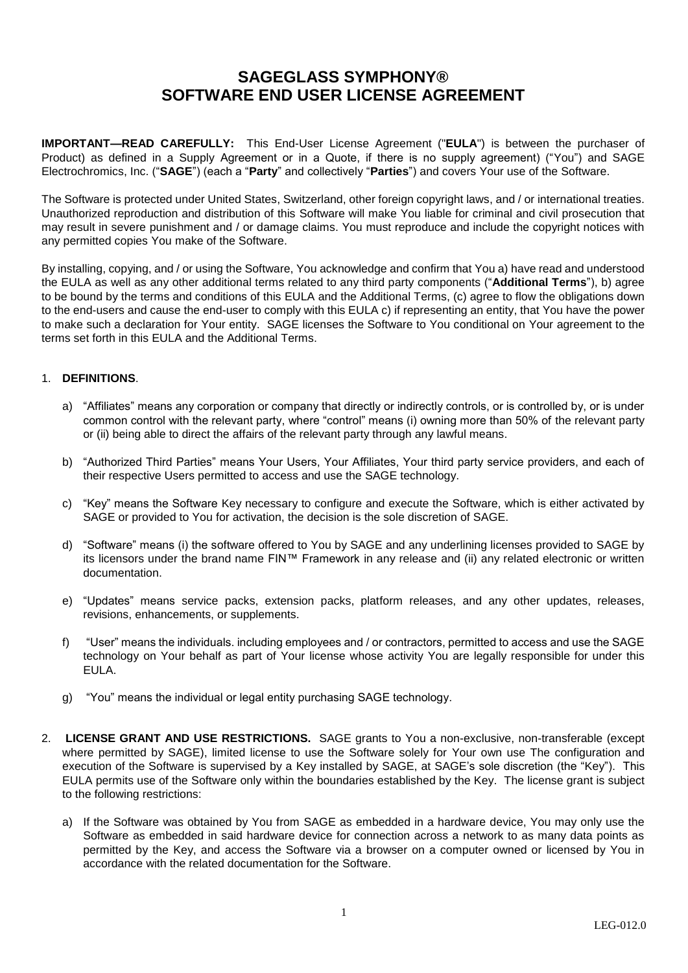## **SAGEGLASS SYMPHONY® SOFTWARE END USER LICENSE AGREEMENT**

**IMPORTANT—READ CAREFULLY:** This End-User License Agreement ("**EULA**") is between the purchaser of Product) as defined in a Supply Agreement or in a Quote, if there is no supply agreement) ("You") and SAGE Electrochromics, Inc. ("**SAGE**") (each a "**Party**" and collectively "**Parties**") and covers Your use of the Software.

The Software is protected under United States, Switzerland, other foreign copyright laws, and / or international treaties. Unauthorized reproduction and distribution of this Software will make You liable for criminal and civil prosecution that may result in severe punishment and / or damage claims. You must reproduce and include the copyright notices with any permitted copies You make of the Software.

By installing, copying, and / or using the Software, You acknowledge and confirm that You a) have read and understood the EULA as well as any other additional terms related to any third party components ("**Additional Terms**"), b) agree to be bound by the terms and conditions of this EULA and the Additional Terms, (c) agree to flow the obligations down to the end-users and cause the end-user to comply with this EULA c) if representing an entity, that You have the power to make such a declaration for Your entity. SAGE licenses the Software to You conditional on Your agreement to the terms set forth in this EULA and the Additional Terms.

## 1. **DEFINITIONS**.

- a) "Affiliates" means any corporation or company that directly or indirectly controls, or is controlled by, or is under common control with the relevant party, where "control" means (i) owning more than 50% of the relevant party or (ii) being able to direct the affairs of the relevant party through any lawful means.
- b) "Authorized Third Parties" means Your Users, Your Affiliates, Your third party service providers, and each of their respective Users permitted to access and use the SAGE technology.
- c) "Key" means the Software Key necessary to configure and execute the Software, which is either activated by SAGE or provided to You for activation, the decision is the sole discretion of SAGE.
- d) "Software" means (i) the software offered to You by SAGE and any underlining licenses provided to SAGE by its licensors under the brand name FIN™ Framework in any release and (ii) any related electronic or written documentation.
- e) "Updates" means service packs, extension packs, platform releases, and any other updates, releases, revisions, enhancements, or supplements.
- f) "User" means the individuals. including employees and / or contractors, permitted to access and use the SAGE technology on Your behalf as part of Your license whose activity You are legally responsible for under this EULA.
- g) "You" means the individual or legal entity purchasing SAGE technology.
- 2. **LICENSE GRANT AND USE RESTRICTIONS.** SAGE grants to You a non-exclusive, non-transferable (except where permitted by SAGE), limited license to use the Software solely for Your own use The configuration and execution of the Software is supervised by a Key installed by SAGE, at SAGE's sole discretion (the "Key"). This EULA permits use of the Software only within the boundaries established by the Key. The license grant is subject to the following restrictions:
	- a) If the Software was obtained by You from SAGE as embedded in a hardware device, You may only use the Software as embedded in said hardware device for connection across a network to as many data points as permitted by the Key, and access the Software via a browser on a computer owned or licensed by You in accordance with the related documentation for the Software.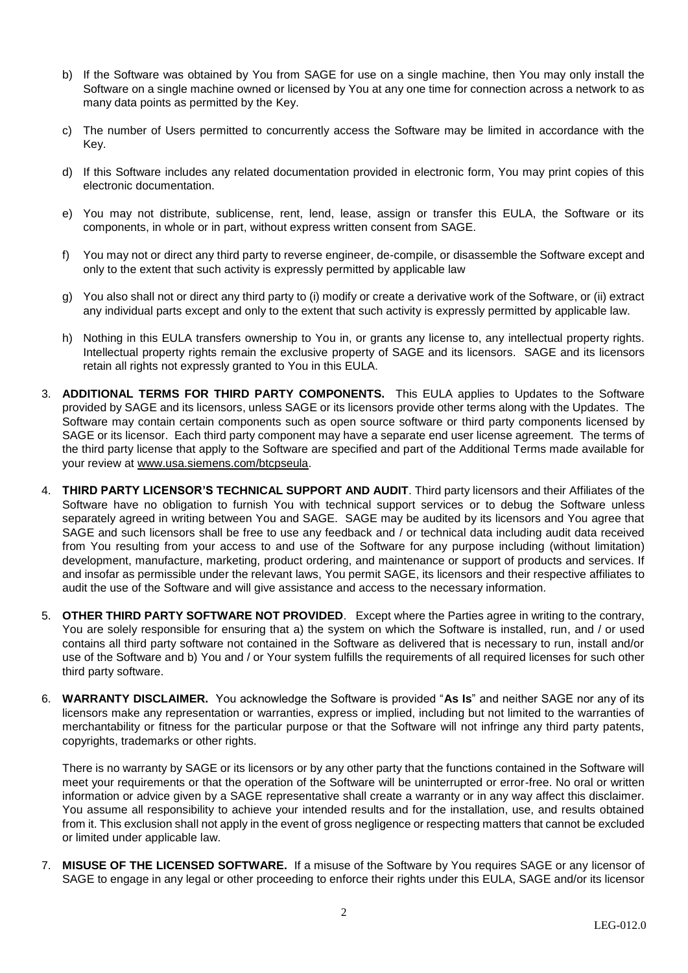- b) If the Software was obtained by You from SAGE for use on a single machine, then You may only install the Software on a single machine owned or licensed by You at any one time for connection across a network to as many data points as permitted by the Key.
- c) The number of Users permitted to concurrently access the Software may be limited in accordance with the Key.
- d) If this Software includes any related documentation provided in electronic form, You may print copies of this electronic documentation.
- e) You may not distribute, sublicense, rent, lend, lease, assign or transfer this EULA, the Software or its components, in whole or in part, without express written consent from SAGE.
- f) You may not or direct any third party to reverse engineer, de-compile, or disassemble the Software except and only to the extent that such activity is expressly permitted by applicable law
- g) You also shall not or direct any third party to (i) modify or create a derivative work of the Software, or (ii) extract any individual parts except and only to the extent that such activity is expressly permitted by applicable law.
- h) Nothing in this EULA transfers ownership to You in, or grants any license to, any intellectual property rights. Intellectual property rights remain the exclusive property of SAGE and its licensors. SAGE and its licensors retain all rights not expressly granted to You in this EULA.
- 3. **ADDITIONAL TERMS FOR THIRD PARTY COMPONENTS.** This EULA applies to Updates to the Software provided by SAGE and its licensors, unless SAGE or its licensors provide other terms along with the Updates. The Software may contain certain components such as open source software or third party components licensed by SAGE or its licensor. Each third party component may have a separate end user license agreement. The terms of the third party license that apply to the Software are specified and part of the Additional Terms made available for your review at [www.usa.siemens.com/btcpseula.](http://www.usa.siemens.com/btcpseula)
- 4. **THIRD PARTY LICENSOR'S TECHNICAL SUPPORT AND AUDIT**. Third party licensors and their Affiliates of the Software have no obligation to furnish You with technical support services or to debug the Software unless separately agreed in writing between You and SAGE. SAGE may be audited by its licensors and You agree that SAGE and such licensors shall be free to use any feedback and / or technical data including audit data received from You resulting from your access to and use of the Software for any purpose including (without limitation) development, manufacture, marketing, product ordering, and maintenance or support of products and services. If and insofar as permissible under the relevant laws, You permit SAGE, its licensors and their respective affiliates to audit the use of the Software and will give assistance and access to the necessary information.
- 5. **OTHER THIRD PARTY SOFTWARE NOT PROVIDED**. Except where the Parties agree in writing to the contrary, You are solely responsible for ensuring that a) the system on which the Software is installed, run, and / or used contains all third party software not contained in the Software as delivered that is necessary to run, install and/or use of the Software and b) You and / or Your system fulfills the requirements of all required licenses for such other third party software.
- 6. **WARRANTY DISCLAIMER.** You acknowledge the Software is provided "**As Is**" and neither SAGE nor any of its licensors make any representation or warranties, express or implied, including but not limited to the warranties of merchantability or fitness for the particular purpose or that the Software will not infringe any third party patents, copyrights, trademarks or other rights.

There is no warranty by SAGE or its licensors or by any other party that the functions contained in the Software will meet your requirements or that the operation of the Software will be uninterrupted or error-free. No oral or written information or advice given by a SAGE representative shall create a warranty or in any way affect this disclaimer. You assume all responsibility to achieve your intended results and for the installation, use, and results obtained from it. This exclusion shall not apply in the event of gross negligence or respecting matters that cannot be excluded or limited under applicable law.

7. **MISUSE OF THE LICENSED SOFTWARE.** If a misuse of the Software by You requires SAGE or any licensor of SAGE to engage in any legal or other proceeding to enforce their rights under this EULA, SAGE and/or its licensor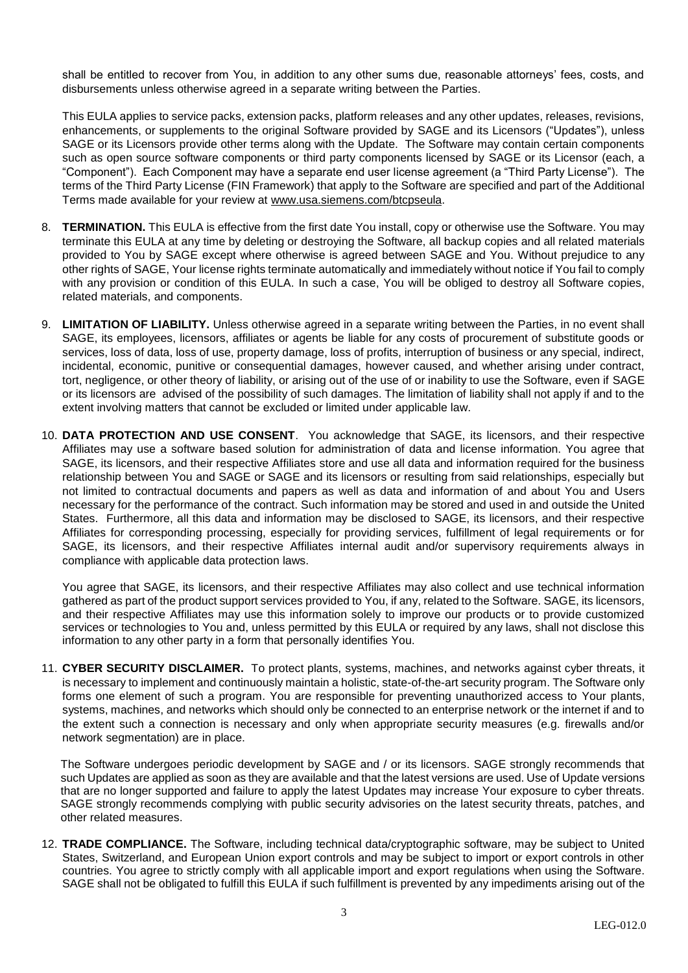shall be entitled to recover from You, in addition to any other sums due, reasonable attorneys' fees, costs, and disbursements unless otherwise agreed in a separate writing between the Parties.

This EULA applies to service packs, extension packs, platform releases and any other updates, releases, revisions, enhancements, or supplements to the original Software provided by SAGE and its Licensors ("Updates"), unless SAGE or its Licensors provide other terms along with the Update. The Software may contain certain components such as open source software components or third party components licensed by SAGE or its Licensor (each, a "Component"). Each Component may have a separate end user license agreement (a "Third Party License"). The terms of the Third Party License (FIN Framework) that apply to the Software are specified and part of the Additional Terms made available for your review at [www.usa.siemens.com/btcpseula.](http://www.usa.siemens.com/btcpseula)

- 8. **TERMINATION.** This EULA is effective from the first date You install, copy or otherwise use the Software. You may terminate this EULA at any time by deleting or destroying the Software, all backup copies and all related materials provided to You by SAGE except where otherwise is agreed between SAGE and You. Without prejudice to any other rights of SAGE, Your license rights terminate automatically and immediately without notice if You fail to comply with any provision or condition of this EULA. In such a case, You will be obliged to destroy all Software copies, related materials, and components.
- 9. **LIMITATION OF LIABILITY.** Unless otherwise agreed in a separate writing between the Parties, in no event shall SAGE, its employees, licensors, affiliates or agents be liable for any costs of procurement of substitute goods or services, loss of data, loss of use, property damage, loss of profits, interruption of business or any special, indirect, incidental, economic, punitive or consequential damages, however caused, and whether arising under contract, tort, negligence, or other theory of liability, or arising out of the use of or inability to use the Software, even if SAGE or its licensors are advised of the possibility of such damages. The limitation of liability shall not apply if and to the extent involving matters that cannot be excluded or limited under applicable law.
- 10. **DATA PROTECTION AND USE CONSENT**. You acknowledge that SAGE, its licensors, and their respective Affiliates may use a software based solution for administration of data and license information. You agree that SAGE, its licensors, and their respective Affiliates store and use all data and information required for the business relationship between You and SAGE or SAGE and its licensors or resulting from said relationships, especially but not limited to contractual documents and papers as well as data and information of and about You and Users necessary for the performance of the contract. Such information may be stored and used in and outside the United States. Furthermore, all this data and information may be disclosed to SAGE, its licensors, and their respective Affiliates for corresponding processing, especially for providing services, fulfillment of legal requirements or for SAGE, its licensors, and their respective Affiliates internal audit and/or supervisory requirements always in compliance with applicable data protection laws.

You agree that SAGE, its licensors, and their respective Affiliates may also collect and use technical information gathered as part of the product support services provided to You, if any, related to the Software. SAGE, its licensors, and their respective Affiliates may use this information solely to improve our products or to provide customized services or technologies to You and, unless permitted by this EULA or required by any laws, shall not disclose this information to any other party in a form that personally identifies You.

11. **CYBER SECURITY DISCLAIMER.** To protect plants, systems, machines, and networks against cyber threats, it is necessary to implement and continuously maintain a holistic, state-of-the-art security program. The Software only forms one element of such a program. You are responsible for preventing unauthorized access to Your plants, systems, machines, and networks which should only be connected to an enterprise network or the internet if and to the extent such a connection is necessary and only when appropriate security measures (e.g. firewalls and/or network segmentation) are in place.

The Software undergoes periodic development by SAGE and / or its licensors. SAGE strongly recommends that such Updates are applied as soon as they are available and that the latest versions are used. Use of Update versions that are no longer supported and failure to apply the latest Updates may increase Your exposure to cyber threats. SAGE strongly recommends complying with public security advisories on the latest security threats, patches, and other related measures.

12. **TRADE COMPLIANCE.** The Software, including technical data/cryptographic software, may be subject to United States, Switzerland, and European Union export controls and may be subject to import or export controls in other countries. You agree to strictly comply with all applicable import and export regulations when using the Software. SAGE shall not be obligated to fulfill this EULA if such fulfillment is prevented by any impediments arising out of the